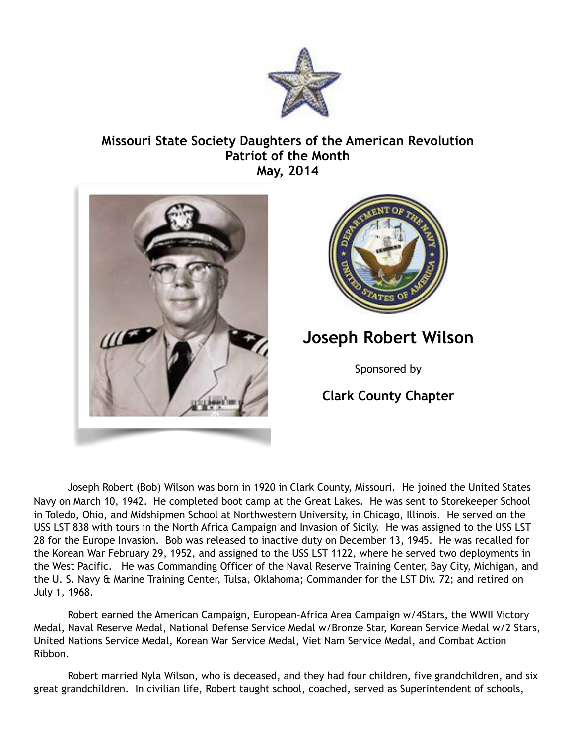

## **Missouri State Society Daughters of the American Revolution Patriot of the Month May, 2014**





## **Joseph Robert Wilson**

Sponsored by

## **Clark County Chapter**

Joseph Robert (Bob) Wilson was born in 1920 in Clark County, Missouri. He joined the United States Navy on March 10, 1942. He completed boot camp at the Great Lakes. He was sent to Storekeeper School in Toledo, Ohio, and Midshipmen School at Northwestern University, in Chicago, Illinois. He served on the USS LST 838 with tours in the North Africa Campaign and Invasion of Sicily. He was assigned to the USS LST 28 for the Europe Invasion. Bob was released to inactive duty on December 13, 1945. He was recalled for the Korean War February 29, 1952, and assigned to the USS LST 1122, where he served two deployments in the West Pacific. He was Commanding Officer of the Naval Reserve Training Center, Bay City, Michigan, and the U. S. Navy & Marine Training Center, Tulsa, Oklahoma; Commander for the LST Div. 72; and retired on July 1, 1968.

 Robert earned the American Campaign, European-Africa Area Campaign w/4Stars, the WWII Victory Medal, Naval Reserve Medal, National Defense Service Medal w/Bronze Star, Korean Service Medal w/2 Stars, United Nations Service Medal, Korean War Service Medal, Viet Nam Service Medal, and Combat Action Ribbon.

Robert married Nyla Wilson, who is deceased, and they had four children, five grandchildren, and six great grandchildren. In civilian life, Robert taught school, coached, served as Superintendent of schools,